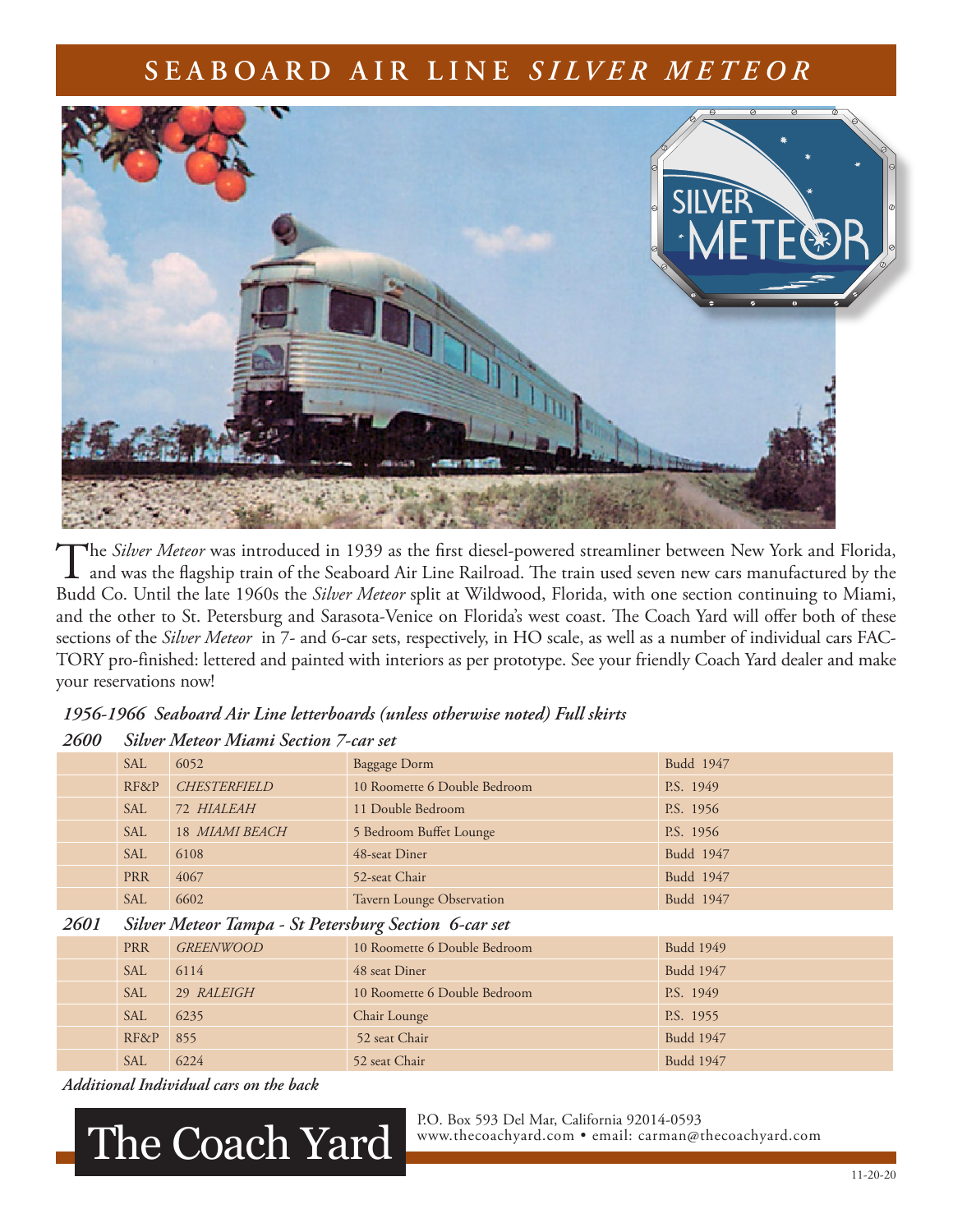### **SEABOARD AIR LINE** *SILVER METEOR*



The *Silver Meteor* was introduced in 1939 as the first diesel-powered streamliner between New York and Florida,<br>and was the flagship train of the Seaboard Air Line Railroad. The train used seven new cars manufactured by t Budd Co. Until the late 1960s the *Silver Meteor* split at Wildwood, Florida, with one section continuing to Miami, and the other to St. Petersburg and Sarasota-Venice on Florida's west coast. The Coach Yard will offer both of these sections of the *Silver Meteor* in 7- and 6-car sets, respectively, in HO scale, as well as a number of individual cars FAC-TORY pro-finished: lettered and painted with interiors as per prototype. See your friendly Coach Yard dealer and make your reservations now!

### *1956-1966 Seaboard Air Line letterboards (unless otherwise noted) Full skirts*

### *2600 Silver Meteor Miami Section 7-car set*

|      | <b>SAL</b> | 6052                                                  | <b>Baggage Dorm</b>          | Budd 1947        |  |  |  |
|------|------------|-------------------------------------------------------|------------------------------|------------------|--|--|--|
|      | RF&P       | <b>CHESTERFIELD</b>                                   | 10 Roomette 6 Double Bedroom | P.S. 1949        |  |  |  |
|      | <b>SAL</b> | 72 HIALEAH                                            | 11 Double Bedroom            | P.S. 1956        |  |  |  |
|      | <b>SAL</b> | 18 MIAMI BEACH                                        | 5 Bedroom Buffet Lounge      | P.S. 1956        |  |  |  |
|      | <b>SAL</b> | 6108                                                  | 48-seat Diner                | Budd 1947        |  |  |  |
|      | <b>PRR</b> | 4067                                                  | 52-seat Chair                | Budd 1947        |  |  |  |
|      | <b>SAL</b> | 6602                                                  | Tavern Lounge Observation    | Budd 1947        |  |  |  |
| 2601 |            | Silver Meteor Tampa - St Petersburg Section 6-car set |                              |                  |  |  |  |
|      | <b>PRR</b> | <b>GREENWOOD</b>                                      | 10 Roomette 6 Double Bedroom | <b>Budd 1949</b> |  |  |  |
|      | <b>SAL</b> | 6114                                                  | 48 seat Diner                | Budd 1947        |  |  |  |
|      | <b>SAL</b> | 29 RALEIGH                                            | 10 Roomette 6 Double Bedroom | P.S. 1949        |  |  |  |
|      | SAL        | 6235                                                  | Chair Lounge                 | P.S. 1955        |  |  |  |
|      | RF&P       | 855                                                   | 52 seat Chair                | Budd 1947        |  |  |  |
|      | <b>SAL</b> | 6224                                                  | 52 seat Chair                | <b>Budd 1947</b> |  |  |  |

*Additional Individual cars on the back*

# The Coach Yard.

P.O. Box 593 Del Mar, California 92014-0593<br>www.thecoachyard.com • email: carman@thecoachyard.com